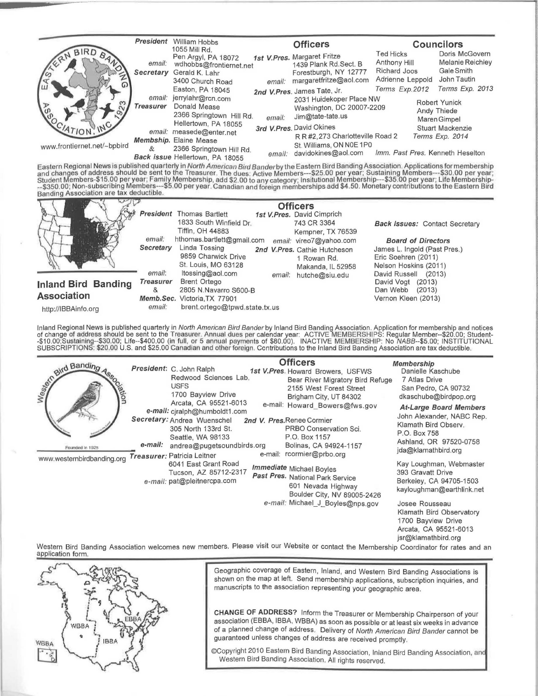|                                                                               | President                  | William Hobbs<br>1055 Mill Rd.                                                                                                                                                                                                 |        | <b>Officers</b>                                                                                                            |                                                                      | <b>Councilors</b>                                               |
|-------------------------------------------------------------------------------|----------------------------|--------------------------------------------------------------------------------------------------------------------------------------------------------------------------------------------------------------------------------|--------|----------------------------------------------------------------------------------------------------------------------------|----------------------------------------------------------------------|-----------------------------------------------------------------|
| <b>GERN</b><br>ľш<br>$\tilde{\alpha}$<br>4710N<br>www.frontiernet.net/~bpbird | email:<br>Secretary        | Pen Argyl, PA 18072<br>wdhobbs@frontiernet.net<br>Gerald K. Lahr<br>3400 Church Road                                                                                                                                           | email: | 1st V. Pres. Margaret Fritze<br>1439 Plank Rd.Sect. B<br>Forestburgh, NY 12777<br>margaretfritze@aol.com                   | <b>Ted Hicks</b><br>Anthony Hill<br>Richard Joos<br>Adrienne Leppold | Doris McGovern<br>Melanie Reichley<br>Gale Smith<br>John Tautin |
|                                                                               | email:<br><b>Treasurer</b> | Easton, PA 18045<br>jerrylahr@rcn.com<br>Donald Mease<br>2366 Springtown Hill Rd.<br>Hellertown, PA 18055<br>email: measede@enter.net<br>Membship. Elaine Mease<br>2366 Springtown Hill Rd.<br>Back issue Hellertown, PA 18055 | email: | Terms Exp.2012<br>2nd V.Pres. James Tate, Jr.<br>2031 Huidekoper Place NW<br>Washington, DC 20007-2209<br>Jim@tate-tate.us |                                                                      | Terms Exp. 2013<br>Robert Yunick<br>Andy Thiede<br>Maren Gimpel |
|                                                                               | &                          |                                                                                                                                                                                                                                | email: | 3rd V.Pres. David Okines<br>R R #2.273 Charlotteville Road 2<br>St. Williams, ON N0E 1P0<br>davidokines@aol.com            | Imm. Past Pres. Kenneth Heselton                                     | Stuart Mackenzie<br>Terms Exp. 2014                             |

Eastern Regional News is published quarterly in *North American Bird Bander* by the Eastern Bird Banding Association. Applications for membership<br>Student Members-\$15.00 per year; Family Membership, add \$2.00 to any categor



Inland Regional News is published quarterly in *North American Bird Bander* by Inland Bird Banding Association. Application for membership and notices<br>of change of address should be sent to the Treasurer. Annual dues per c SUBSCRIPTIONS: \$20.00 U.S. and \$25.00 Canadian and other foreign. Contributions to the Inland Bird Banding Association are tax deductible.

| and Banding                                        |         | President: C. John Ralph<br>Redwood Sciences Lab.                                                                                                                                                                                                                                                                   |  | <b>Officers</b><br>1st V.Pres. Howard Browers, USFWS<br>Bear River Migratory Bird Refuge                                                                                                                          | Membership<br>Danielle Kaschube<br>7 Atlas Drive                                                                                                                                                    |
|----------------------------------------------------|---------|---------------------------------------------------------------------------------------------------------------------------------------------------------------------------------------------------------------------------------------------------------------------------------------------------------------------|--|-------------------------------------------------------------------------------------------------------------------------------------------------------------------------------------------------------------------|-----------------------------------------------------------------------------------------------------------------------------------------------------------------------------------------------------|
| Ŝ<br>Founded In 1925<br>www.westernbirdbanding.org | e-mail: | <b>USFS</b><br>1700 Bayview Drive<br>Arcata, CA 95521-6013<br>e-mail: cjralph@humboldt1.com<br>Secretary: Andrea Wuenschel<br>305 North 133rd St.<br>Seattle, WA 98133<br>andrea@pugetsoundbirds.org<br>Treasurer: Patricia Leitner<br>6041 East Grant Road<br>Tucson, AZ 85712-2317<br>e-mail: pat@pleitnercpa.com |  | 2155 West Forest Street<br>Brigham City, UT 84302<br>e-mail: Howard Bowers@fws.gov<br>2nd V. Pres.Renee Cormier<br>PRBO Conservation Sci.<br>P.O. Box 1157<br>Bolinas, CA 94924-1157<br>e-mail: rcormier@prbo.org | San Pedro, CA 90732<br>dkaschube@birdpop.org<br><b>At-Large Board Members</b><br>John Alexander, NABC Rep.<br>Klamath Bird Observ.<br>P.O. Box 758<br>Ashland, OR 97520-0758<br>jda@klamathbird.org |
|                                                    |         |                                                                                                                                                                                                                                                                                                                     |  | Immediate Michael Boyles<br>Past Pres. National Park Service<br>601 Nevada Highway<br>Boulder City, NV 89005-2426                                                                                                 | Kay Loughman, Webmaster<br>393 Gravatt Drive<br>Berkeley, CA 94705-1503<br>kayloughman@earthlink.net                                                                                                |
|                                                    |         |                                                                                                                                                                                                                                                                                                                     |  | e-mail: Michael_J_Boyles@nps.gov                                                                                                                                                                                  | Josee Rousseau<br>Klamath Bird Observatory<br>1700 Bayview Drive<br>Arcata, CA 95521-6013<br>jsr@klamathbird.org                                                                                    |

Western Bird Banding Association welcomes new members. Please visit our Website or contact the Membership Coordinator for rates and an application form.



Geographic coverage of Eastern, Inland, and Western Bird Banding Associations is shown on the map at left. Send membership applications, subscription inquiries, and manuscripts to the association representing your geographic area.

CHANGE OF ADDRESS? Inform the Treasurer or Membership Chairperson of your association (EBBA, IBBA, WBBA) as soon as possible or at least six weeks in advance of a planned change of address. Delivery of North American Bird Bander cannot be guaranteed unless changes of address are received promptly.

©Copyright 2010 Eastern Bird Banding Association, Inland Bird Banding Association, an Western Bird Banding Association. All rights reserved.